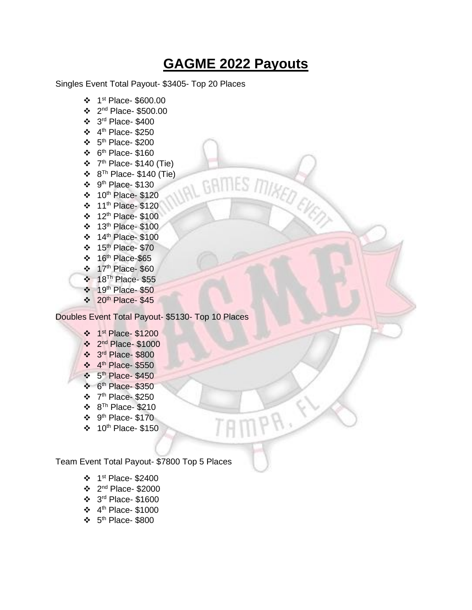## **GAGME 2022 Payouts**

IN GRITIES ITILISED EVERY

MPA,

Singles Event Total Payout- \$3405- Top 20 Places

- ❖ 1 st Place- \$600.00
- ❖ 2 nd Place- \$500.00
- ❖ 3 rd Place- \$400
- $\div$  4<sup>th</sup> Place-\$250
- $\div$  5<sup>th</sup> Place-\$200
- $\div$  6<sup>th</sup> Place-\$160
- $\div$  7<sup>th</sup> Place- \$140 (Tie)
- $\div$  8<sup>Th</sup> Place- \$140 (Tie)
- $\div$  9<sup>th</sup> Place-\$130
- ❖ 10th Place- \$120
- ❖ 11th Place- \$120
- ❖ 12th Place- \$100
- ❖ 13th Place- \$100
- ❖ 14th Place- \$100
- ❖ 15th Place- \$70
- $\div$  16<sup>th</sup> Place-\$65
- ❖ 17th Place- \$60
- ❖ 18Th Place- \$55
- ❖ 19th Place- \$50
- $\div$  20<sup>th</sup> Place- \$45

Doubles Event Total Payout- \$5130- Top 10 Places

- ❖ 1 st Place- \$1200
- ❖ 2 nd Place- \$1000
- ❖ 3 rd Place- \$800
- ❖ 4 th Place- \$550
- ❖ 5<sup>th</sup> Place- \$450
- ❖ 6 th Place- \$350
- $\div$  7<sup>th</sup> Place-\$250
- ❖ 8 Th Place- \$210
- $\div$  9<sup>th</sup> Place- \$170
- ❖ 10th Place- \$150

Team Event Total Payout- \$7800 Top 5 Places

- ❖ 1 st Place- \$2400
- ❖ 2 nd Place- \$2000
- ❖ 3 rd Place- \$1600
- ❖ 4 th Place- \$1000
- $\div$  5<sup>th</sup> Place-\$800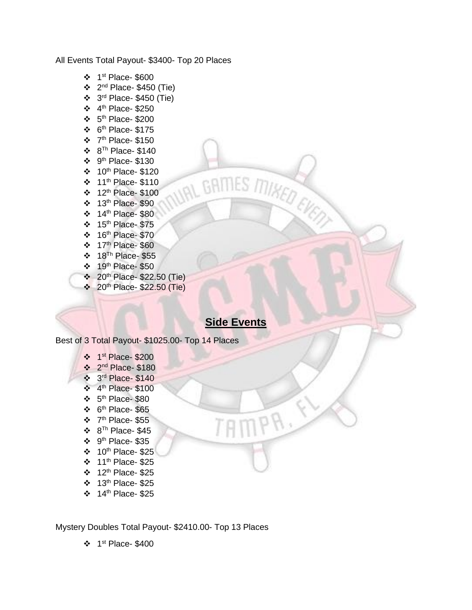All Events Total Payout- \$3400- Top 20 Places

- ❖ 1 st Place- \$600
- $\div$  2<sup>nd</sup> Place- \$450 (Tie)
- ❖ 3 rd Place- \$450 (Tie)
- $\div$  4<sup>th</sup> Place-\$250
- $\div$  5<sup>th</sup> Place-\$200
- $\div$  6<sup>th</sup> Place-\$175
- $\div$  7<sup>th</sup> Place- \$150
- $\div 8^{Th}$  Place-\$140
- $\div$  9<sup>th</sup> Place-\$130
- ❖ 10th Place- \$120
- ❖ 11th Place- \$110
- ❖ 12th Place- \$100
- ❖ 13th Place- \$90
- $\div$  14<sup>th</sup> Place- \$80
- ❖ 15th Place- \$75
- ❖ 16 th Place- \$70
- ❖ 17th Place- \$60
- ❖ 18Th Place- \$55
- ❖ 19th Place- \$50
- ❖ 20th Place- \$22.50 (Tie)
- ❖ 20th Place- \$22.50 (Tie)

## **Side Events**

 $IPR$ 

UAL GAITLES ITHRED EVERY

Best of 3 Total Payout- \$1025.00- Top 14 Places

- ❖ 1 st Place- \$200
- ❖ 2 nd Place- \$180
- ❖ 3 rd Place- \$140
- ❖ 4 th Place- \$100
- $\div$  5<sup>th</sup> Place-\$80
- $\div$  6<sup>th</sup> Place-\$65
- ❖ 7 th Place- \$55
- $\div$  8<sup>Th</sup> Place-\$45
- $\div$  9<sup>th</sup> Place-\$35
- ❖ 10th Place- \$25
- $\div$  11<sup>th</sup> Place- \$25
- $\div$  12<sup>th</sup> Place- \$25
- ❖ 13th Place- \$25
- $\div$  14<sup>th</sup> Place- \$25

Mystery Doubles Total Payout- \$2410.00- Top 13 Places

❖ 1 st Place- \$400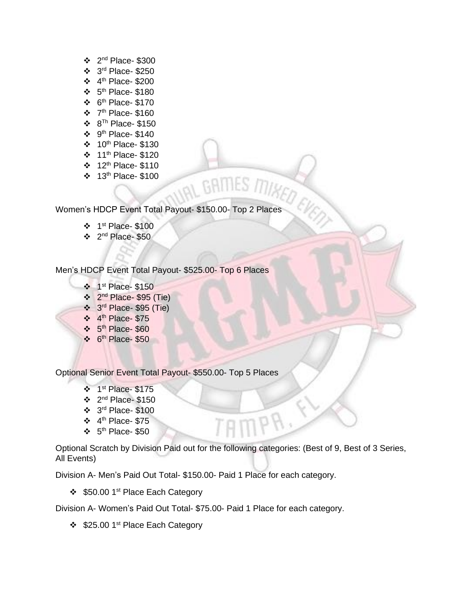- $\div$  2<sup>nd</sup> Place- \$300
- ❖ 3 rd Place- \$250
- $\div$  4<sup>th</sup> Place-\$200
- $\div$  5<sup>th</sup> Place-\$180
- $\div$  6<sup>th</sup> Place-\$170
- $\div$  7<sup>th</sup> Place-\$160
- ❖ 8 Th Place- \$150
- $\div$  9<sup>th</sup> Place-\$140
- ❖ 10th Place- \$130
- ❖ 11th Place- \$120
- ❖ 12th Place- \$110
- ❖ 13th Place- \$100

Women's HDCP Event Total Payout- \$150.00- Top 2 Places

- ❖ 1 st Place- \$100
- ❖ 2 nd Place- \$50

Men's HDCP Event Total Payout- \$525.00- Top 6 Places

- ❖ 1 st Place- \$150
- ❖ 2 nd Place- \$95 (Tie)
- ❖ 3 rd Place- \$95 (Tie)
- ❖ 4 th Place- \$75
- ❖ 5 th Place- \$60
- $\div$  6<sup>th</sup> Place- \$50

Optional Senior Event Total Payout- \$550.00- Top 5 Places

- ❖ 1 st Place- \$175
- $\div$  2<sup>nd</sup> Place-\$150
- ❖ 3 rd Place- \$100
- $\div$  4<sup>th</sup> Place- \$75
- $\div$  5<sup>th</sup> Place-\$50

Optional Scratch by Division Paid out for the following categories: (Best of 9, Best of 3 Series, All Events)

GAMES MIKED

Division A- Men's Paid Out Total- \$150.00- Paid 1 Place for each category.

❖ \$50.00 1<sup>st</sup> Place Each Category

Division A- Women's Paid Out Total- \$75.00- Paid 1 Place for each category.

❖ \$25.00 1<sup>st</sup> Place Each Category